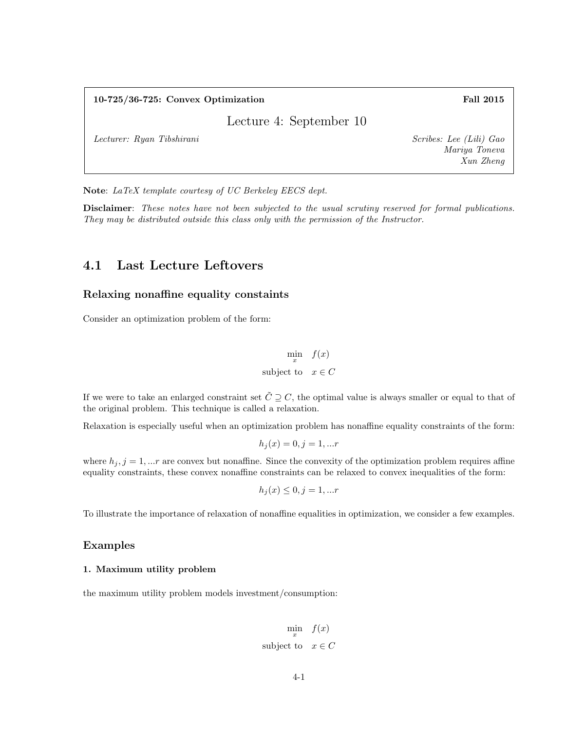### 10-725/36-725: Convex Optimization Fall 2015

Lecture 4: September 10

Lecturer: Ryan Tibshirani Scribes: Lee (Lili) Gao

Mariya Toneva Xun Zheng

Note: LaTeX template courtesy of UC Berkeley EECS dept.

Disclaimer: These notes have not been subjected to the usual scrutiny reserved for formal publications. They may be distributed outside this class only with the permission of the Instructor.

# 4.1 Last Lecture Leftovers

### Relaxing nonaffine equality constaints

Consider an optimization problem of the form:

$$
\min_{x} \quad f(x)
$$
  
subject to  $x \in C$ 

If we were to take an enlarged constraint set  $\tilde{C} \supseteq C$ , the optimal value is always smaller or equal to that of the original problem. This technique is called a relaxation.

Relaxation is especially useful when an optimization problem has nonaffine equality constraints of the form:

$$
h_j(x) = 0, j = 1, \dots r
$$

where  $h_j$ ,  $j = 1, ...r$  are convex but nonaffine. Since the convexity of the optimization problem requires affine equality constraints, these convex nonaffine constraints can be relaxed to convex inequalities of the form:

$$
h_j(x) \le 0, j = 1, \dots r
$$

To illustrate the importance of relaxation of nonaffine equalities in optimization, we consider a few examples.

#### Examples

#### 1. Maximum utility problem

the maximum utility problem models investment/consumption:

$$
\min_{x} \quad f(x)
$$
  
subject to  $x \in C$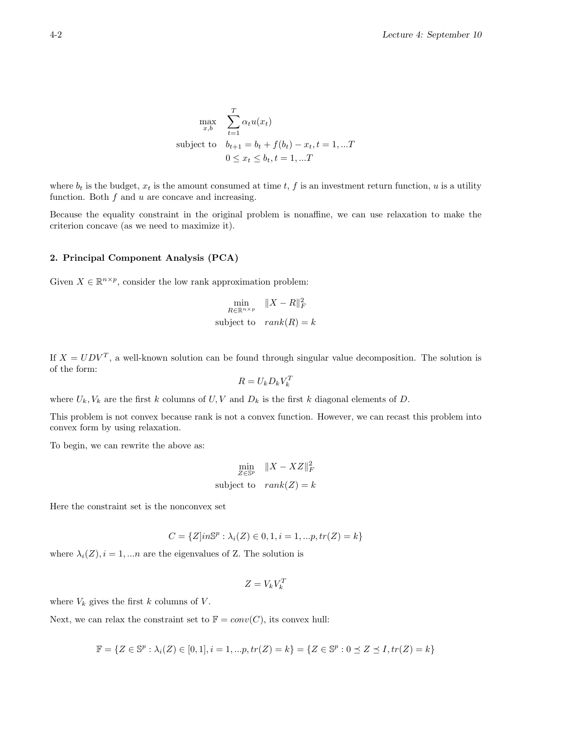$$
\max_{x,b} \sum_{t=1}^{T} \alpha_t u(x_t)
$$
  
subject to  $b_{t+1} = b_t + f(b_t) - x_t, t = 1, ...T$   
 $0 \le x_t \le b_t, t = 1, ...T$ 

where  $b_t$  is the budget,  $x_t$  is the amount consumed at time t, f is an investment return function, u is a utility function. Both  $f$  and  $u$  are concave and increasing.

Because the equality constraint in the original problem is nonaffine, we can use relaxation to make the criterion concave (as we need to maximize it).

### 2. Principal Component Analysis (PCA)

Given  $X \in \mathbb{R}^{n \times p}$ , consider the low rank approximation problem:

$$
\min_{R \in \mathbb{R}^{n \times p}} \|X - R\|_F^2
$$
  
subject to 
$$
rank(R) = k
$$

If  $X = UDV^T$ , a well-known solution can be found through singular value decomposition. The solution is of the form:

$$
R = U_k D_k V_k^T
$$

where  $U_k, V_k$  are the first k columns of U, V and  $D_k$  is the first k diagonal elements of D.

This problem is not convex because rank is not a convex function. However, we can recast this problem into convex form by using relaxation.

To begin, we can rewrite the above as:

$$
\min_{Z \in \mathbb{S}^p} \|X - XZ\|_F^2
$$
  
subject to 
$$
rank(Z) = k
$$

Here the constraint set is the nonconvex set

$$
C = \{Z|in\mathbb{S}^p : \lambda_i(Z) \in 0, 1, i = 1, ...p, tr(Z) = k\}
$$

where  $\lambda_i(Z)$ ,  $i = 1,...n$  are the eigenvalues of Z. The solution is

$$
Z = V_k V_k^T
$$

where  $V_k$  gives the first k columns of V.

Next, we can relax the constraint set to  $\mathbb{F} = conv(C)$ , its convex hull:

$$
\mathbb{F} = \{ Z \in \mathbb{S}^p : \lambda_i(Z) \in [0,1], i = 1, \dots p, tr(Z) = k \} = \{ Z \in \mathbb{S}^p : 0 \le Z \le I, tr(Z) = k \}
$$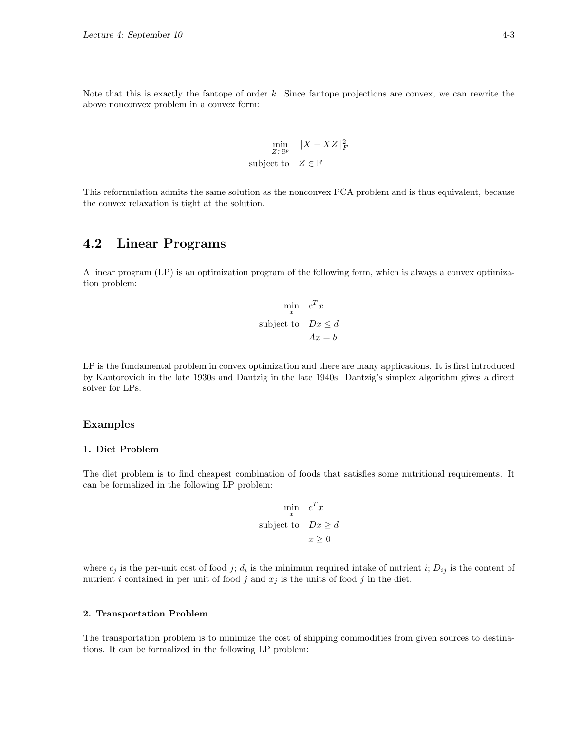Note that this is exactly the fantope of order k. Since fantope projections are convex, we can rewrite the above nonconvex problem in a convex form:

$$
\min_{Z \in \mathbb{S}^p} \|X - XZ\|_F^2
$$
\nsubject to 
$$
Z \in \mathbb{F}
$$

This reformulation admits the same solution as the nonconvex PCA problem and is thus equivalent, because the convex relaxation is tight at the solution.

# 4.2 Linear Programs

A linear program (LP) is an optimization program of the following form, which is always a convex optimization problem:

$$
\min_{x} c^{T} x
$$
  
subject to 
$$
Dx \leq d
$$

$$
Ax = b
$$

LP is the fundamental problem in convex optimization and there are many applications. It is first introduced by Kantorovich in the late 1930s and Dantzig in the late 1940s. Dantzig's simplex algorithm gives a direct solver for LPs.

### Examples

### 1. Diet Problem

The diet problem is to find cheapest combination of foods that satisfies some nutritional requirements. It can be formalized in the following LP problem:

$$
\min_{x} c^{T} x
$$
  
subject to 
$$
Dx \geq d
$$

$$
x \geq 0
$$

where  $c_j$  is the per-unit cost of food j;  $d_i$  is the minimum required intake of nutrient i;  $D_{ij}$  is the content of nutrient i contained in per unit of food j and  $x_j$  is the units of food j in the diet.

#### 2. Transportation Problem

The transportation problem is to minimize the cost of shipping commodities from given sources to destinations. It can be formalized in the following LP problem: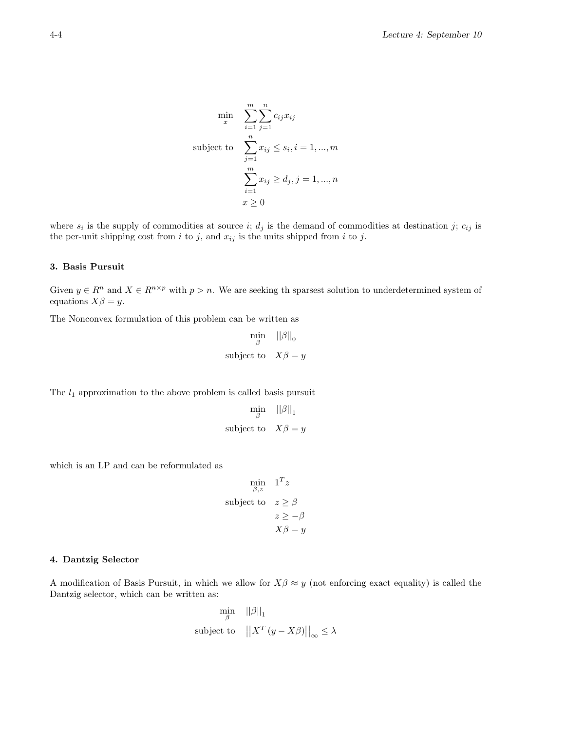$$
\min_{x} \quad \sum_{i=1}^{m} \sum_{j=1}^{n} c_{ij} x_{ij}
$$
\n
$$
\text{subject to} \quad \sum_{j=1}^{n} x_{ij} \le s_i, i = 1, \dots, m
$$
\n
$$
\sum_{i=1}^{m} x_{ij} \ge d_j, j = 1, \dots, n
$$
\n
$$
x \ge 0
$$

where  $s_i$  is the supply of commodities at source i;  $d_j$  is the demand of commodities at destination j;  $c_{ij}$  is the per-unit shipping cost from i to j, and  $x_{ij}$  is the units shipped from i to j.

### 3. Basis Pursuit

Given  $y \in R^n$  and  $X \in R^{n \times p}$  with  $p > n$ . We are seeking th sparsest solution to underdetermined system of equations  $X\beta = y$ .

The Nonconvex formulation of this problem can be written as

$$
\min_{\beta} \quad ||\beta||_0
$$
  
subject to 
$$
X\beta = y
$$

The  $l_1$  approximation to the above problem is called basis pursuit

$$
\min_{\beta} \quad ||\beta||_1
$$
  
subject to 
$$
X\beta = y
$$

which is an LP and can be reformulated as

$$
\min_{\beta, z} \quad 1^T z
$$
\n
$$
\text{subject to} \quad z \ge \beta
$$
\n
$$
z \ge -\beta
$$
\n
$$
X\beta = y
$$

#### 4. Dantzig Selector

A modification of Basis Pursuit, in which we allow for  $X\beta \approx y$  (not enforcing exact equality) is called the Dantzig selector, which can be written as:

$$
\min_{\beta} \quad ||\beta||_1
$$
  
subject to 
$$
||X^T (y - X\beta)||_{\infty} \le \lambda
$$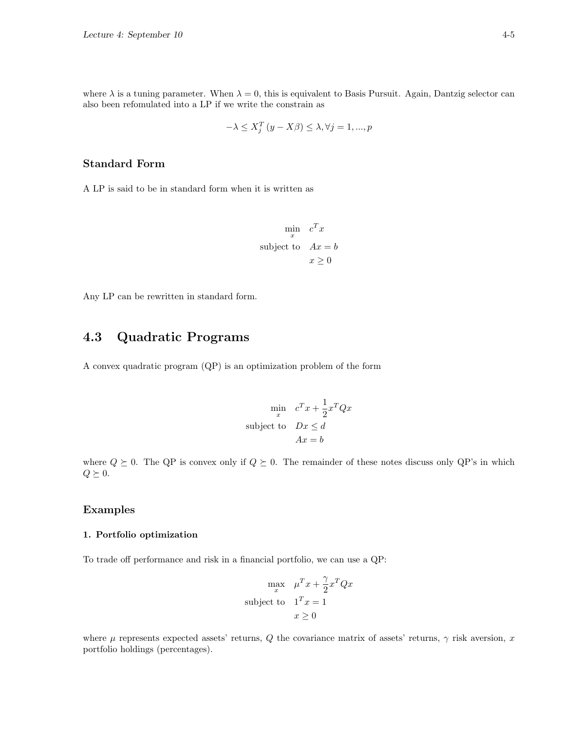where  $\lambda$  is a tuning parameter. When  $\lambda = 0$ , this is equivalent to Basis Pursuit. Again, Dantzig selector can also been refomulated into a LP if we write the constrain as

$$
-\lambda \le X_j^T (y - X\beta) \le \lambda, \forall j = 1, ..., p
$$

### Standard Form

A LP is said to be in standard form when it is written as

$$
\min_{x} c^{T} x
$$
  
subject to 
$$
Ax = b
$$

$$
x \ge 0
$$

Any LP can be rewritten in standard form.

# 4.3 Quadratic Programs

A convex quadratic program (QP) is an optimization problem of the form

$$
\min_{x} c^{T} x + \frac{1}{2} x^{T} Q x
$$
  
subject to 
$$
Dx \le d
$$

$$
Ax = b
$$

where  $Q \succeq 0$ . The QP is convex only if  $Q \succeq 0$ . The remainder of these notes discuss only QP's in which  $Q \succeq 0.$ 

### Examples

### 1. Portfolio optimization

To trade off performance and risk in a financial portfolio, we can use a QP:

$$
\max_{x} \mu^{T} x + \frac{\gamma}{2} x^{T} Q x
$$
\nsubject to 
$$
1^{T} x = 1
$$
\n
$$
x \ge 0
$$

where  $\mu$  represents expected assets' returns, Q the covariance matrix of assets' returns,  $\gamma$  risk aversion, x portfolio holdings (percentages).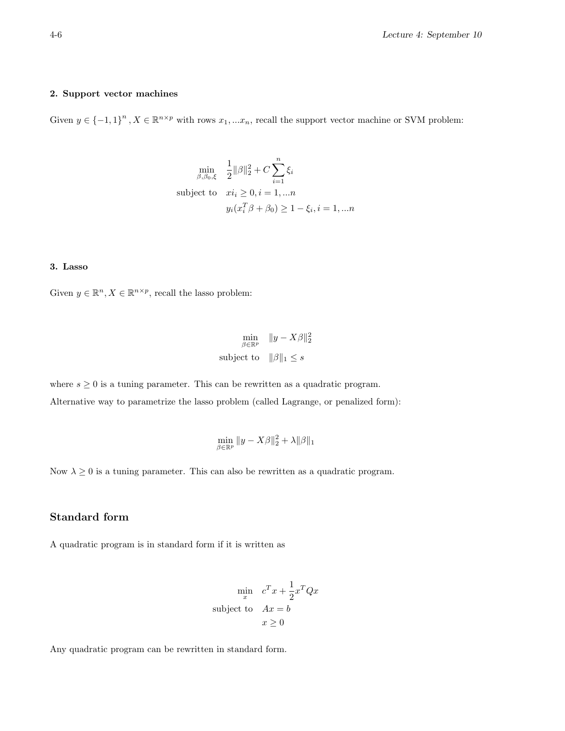### 2. Support vector machines

Given  $y \in \{-1,1\}^n$ ,  $X \in \mathbb{R}^{n \times p}$  with rows  $x_1,...x_n$ , recall the support vector machine or SVM problem:

$$
\min_{\beta, \beta_0, \xi} \quad \frac{1}{2} ||\beta||_2^2 + C \sum_{i=1}^n \xi_i
$$
\nsubject to 
$$
xi_i \ge 0, i = 1, \dots n
$$
\n
$$
y_i(x_i^T \beta + \beta_0) \ge 1 - \xi_i, i = 1, \dots n
$$

### 3. Lasso

Given  $y \in \mathbb{R}^n, X \in \mathbb{R}^{n \times p}$ , recall the lasso problem:

$$
\min_{\beta \in \mathbb{R}^p} \|y - X\beta\|_2^2
$$
  
subject to 
$$
\|\beta\|_1 \le s
$$

where  $s \geq 0$  is a tuning parameter. This can be rewritten as a quadratic program.

Alternative way to parametrize the lasso problem (called Lagrange, or penalized form):

$$
\min_{\beta \in \mathbb{R}^p} \|y - X\beta\|_2^2 + \lambda \|\beta\|_1
$$

Now  $\lambda \geq 0$  is a tuning parameter. This can also be rewritten as a quadratic program.

### Standard form

A quadratic program is in standard form if it is written as

$$
\min_{x} c^{T} x + \frac{1}{2} x^{T} Q x
$$
  
subject to 
$$
Ax = b
$$

$$
x \ge 0
$$

Any quadratic program can be rewritten in standard form.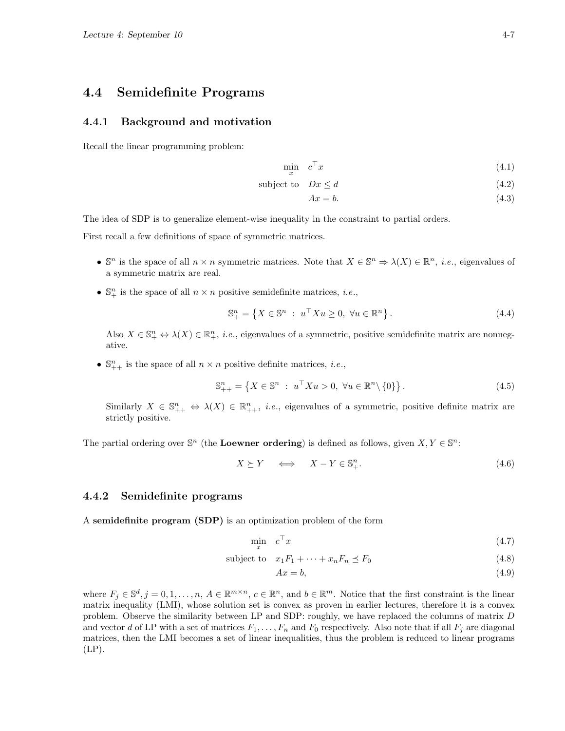## 4.4 Semidefinite Programs

### 4.4.1 Background and motivation

Recall the linear programming problem:

$$
\min_{x} \quad c^{\top} x \tag{4.1}
$$

$$
subject to \quad Dx \le d \tag{4.2}
$$

$$
Ax = b.\t\t(4.3)
$$

The idea of SDP is to generalize element-wise inequality in the constraint to partial orders.

First recall a few definitions of space of symmetric matrices.

- $\mathbb{S}^n$  is the space of all  $n \times n$  symmetric matrices. Note that  $X \in \mathbb{S}^n \Rightarrow \lambda(X) \in \mathbb{R}^n$ , *i.e.*, eigenvalues of a symmetric matrix are real.
- $\mathbb{S}^n_+$  is the space of all  $n \times n$  positive semidefinite matrices, *i.e.*,

$$
\mathbb{S}_{+}^{n} = \left\{ X \in \mathbb{S}^{n} : u^{\top} X u \ge 0, \ \forall u \in \mathbb{R}^{n} \right\}.
$$
\n
$$
(4.4)
$$

Also  $X \in \mathbb{S}^n_+ \Leftrightarrow \lambda(X) \in \mathbb{R}^n_+$ , *i.e.*, eigenvalues of a symmetric, positive semidefinite matrix are nonnegative.

•  $\mathbb{S}_{++}^n$  is the space of all  $n \times n$  positive definite matrices, *i.e.*,

$$
\mathbb{S}_{++}^n = \left\{ X \in \mathbb{S}^n : u^\top X u > 0, \ \forall u \in \mathbb{R}^n \backslash \{0\} \right\}. \tag{4.5}
$$

Similarly  $X \in \mathbb{S}_{++}^n \Leftrightarrow \lambda(X) \in \mathbb{R}_{++}^n$ , *i.e.*, eigenvalues of a symmetric, positive definite matrix are strictly positive.

The partial ordering over  $\mathbb{S}^n$  (the **Loewner ordering**) is defined as follows, given  $X, Y \in \mathbb{S}^n$ :

$$
X \succeq Y \quad \Longleftrightarrow \quad X - Y \in \mathbb{S}^n_+.
$$
\n
$$
(4.6)
$$

### 4.4.2 Semidefinite programs

A semidefinite program (SDP) is an optimization problem of the form

$$
\min_{x} \quad c^{\top} x \tag{4.7}
$$

$$
subject to \t x_1F_1 + \cdots + x_nF_n \preceq F_0 \t (4.8)
$$

$$
Ax = b,\tag{4.9}
$$

where  $F_j \in \mathbb{S}^d, j = 0, 1, \ldots, n, A \in \mathbb{R}^{m \times n}, c \in \mathbb{R}^n$ , and  $b \in \mathbb{R}^m$ . Notice that the first constraint is the linear matrix inequality (LMI), whose solution set is convex as proven in earlier lectures, therefore it is a convex problem. Observe the similarity between LP and SDP: roughly, we have replaced the columns of matrix D and vector d of LP with a set of matrices  $F_1, \ldots, F_n$  and  $F_0$  respectively. Also note that if all  $F_i$  are diagonal matrices, then the LMI becomes a set of linear inequalities, thus the problem is reduced to linear programs  $(LP)$ .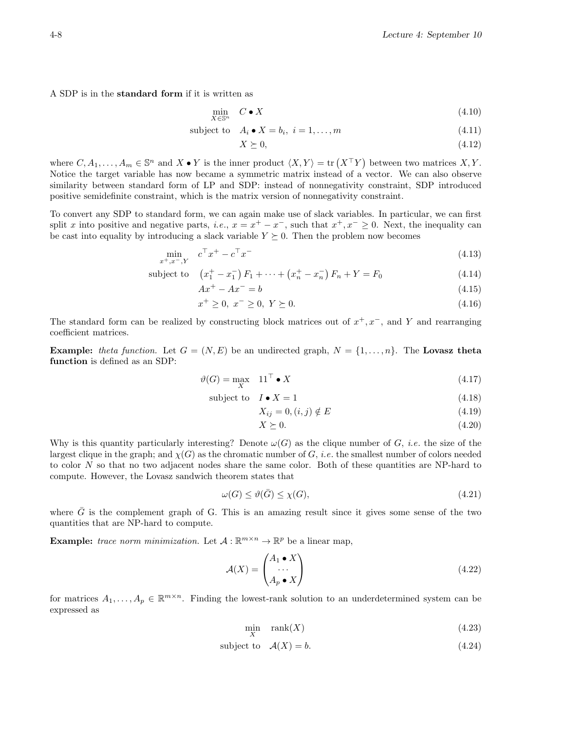A SDP is in the standard form if it is written as

$$
\min_{X \in \mathbb{S}^n} \quad C \bullet X \tag{4.10}
$$

subject to 
$$
A_i \bullet X = b_i, i = 1,...,m
$$
 
$$
(4.11)
$$

$$
X \succeq 0,\tag{4.12}
$$

where  $C, A_1, \ldots, A_m \in \mathbb{S}^n$  and  $X \bullet Y$  is the inner product  $\langle X, Y \rangle = \text{tr}(X^\top Y)$  between two matrices  $X, Y$ . Notice the target variable has now became a symmetric matrix instead of a vector. We can also observe similarity between standard form of LP and SDP: instead of nonnegativity constraint, SDP introduced positive semidefinite constraint, which is the matrix version of nonnegativity constraint.

To convert any SDP to standard form, we can again make use of slack variables. In particular, we can first split x into positive and negative parts, i.e.,  $x = x^+ - x^-$ , such that  $x^+, x^- \ge 0$ . Next, the inequality can be cast into equality by introducing a slack variable  $Y \geq 0$ . Then the problem now becomes

$$
\min_{x^+, x^-, Y} c^\top x^+ - c^\top x^- \tag{4.13}
$$

subject to 
$$
(x_1^+ - x_1^-) F_1 + \dots + (x_n^+ - x_n^-) F_n + Y = F_0
$$
 (4.14)  
 $A x_1^+ - A x_1^- - b$ 

$$
Ax^{+} - Ax^{-} = b \tag{4.15}
$$

$$
x^{+} \ge 0, \ x^{-} \ge 0, \ Y \succeq 0. \tag{4.16}
$$

The standard form can be realized by constructing block matrices out of  $x^+, x^-$ , and Y and rearranging coefficient matrices.

**Example:** theta function. Let  $G = (N, E)$  be an undirected graph,  $N = \{1, ..., n\}$ . The Lovasz theta function is defined as an SDP:

$$
\vartheta(G) = \max_{X} \quad 11^{\top} \bullet X \tag{4.17}
$$

$$
subject to \tI \bullet X = 1 \t(4.18)
$$

$$
X_{ij} = 0, (i, j) \notin E \tag{4.19}
$$

$$
X \succeq 0. \tag{4.20}
$$

Why is this quantity particularly interesting? Denote  $\omega(G)$  as the clique number of G, *i.e.* the size of the largest clique in the graph; and  $\chi(G)$  as the chromatic number of G, *i.e.* the smallest number of colors needed to color N so that no two adjacent nodes share the same color. Both of these quantities are NP-hard to compute. However, the Lovasz sandwich theorem states that

$$
\omega(G) \le \vartheta(\bar{G}) \le \chi(G),\tag{4.21}
$$

where  $\bar{G}$  is the complement graph of G. This is an amazing result since it gives some sense of the two quantities that are NP-hard to compute.

**Example:** trace norm minimization. Let  $A: \mathbb{R}^{m \times n} \to \mathbb{R}^p$  be a linear map,

$$
\mathcal{A}(X) = \begin{pmatrix} A_1 \bullet X \\ \cdots \\ A_p \bullet X \end{pmatrix} \tag{4.22}
$$

for matrices  $A_1, \ldots, A_p \in \mathbb{R}^{m \times n}$ . Finding the lowest-rank solution to an underdetermined system can be expressed as

$$
\min_{X} \quad \text{rank}(X) \tag{4.23}
$$

$$
subject to \t\mathcal{A}(X) = b. \t(4.24)
$$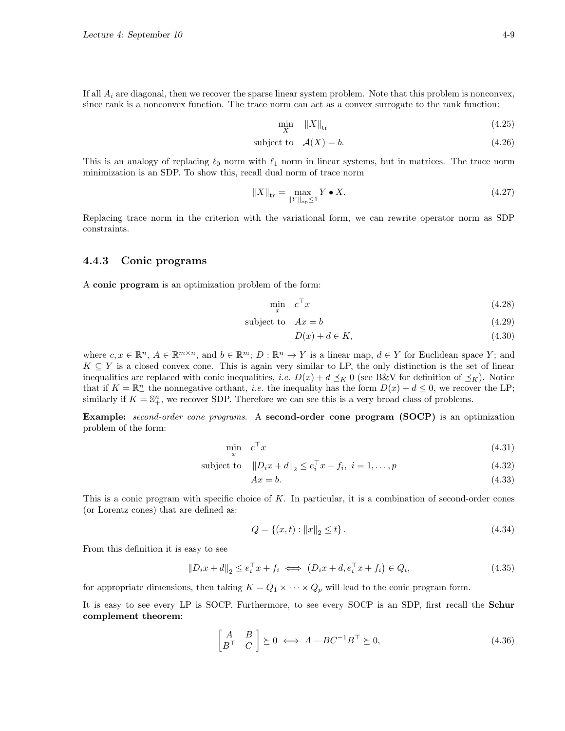If all  $A_i$  are diagonal, then we recover the sparse linear system problem. Note that this problem is nonconvex, since rank is a nonconvex function. The trace norm can act as a convex surrogate to the rank function:

$$
\min_{X} \|X\|_{\text{tr}} \tag{4.25}
$$

subject to 
$$
\mathcal{A}(X) = b.
$$
 (4.26)

This is an analogy of replacing  $\ell_0$  norm with  $\ell_1$  norm in linear systems, but in matrices. The trace norm minimization is an SDP. To show this, recall dual norm of trace norm

$$
||X||_{\text{tr}} = \max_{||Y||_{\text{op}} \le 1} Y \bullet X. \tag{4.27}
$$

Replacing trace norm in the criterion with the variational form, we can rewrite operator norm as SDP constraints.

### 4.4.3 Conic programs

A conic program is an optimization problem of the form:

$$
\min_{x} \quad c^{\top} x \tag{4.28}
$$

subject to  $Ax = b$  (4.29)

$$
D(x) + d \in K,\tag{4.30}
$$

where  $c, x \in \mathbb{R}^n$ ,  $A \in \mathbb{R}^{m \times n}$ , and  $b \in \mathbb{R}^m$ ;  $D : \mathbb{R}^n \to Y$  is a linear map,  $d \in Y$  for Euclidean space Y; and  $K \subseteq Y$  is a closed convex cone. This is again very similar to LP, the only distinction is the set of linear inequalities are replaced with conic inequalities, *i.e.*  $D(x) + d \preceq_K 0$  (see B&V for definition of  $\preceq_K$ ). Notice that if  $K = \mathbb{R}^n_+$  the nonnegative orthant, *i.e.* the inequality has the form  $D(x) + d \leq 0$ , we recover the LP; similarly if  $K = \mathbb{S}_{+}^{n}$ , we recover SDP. Therefore we can see this is a very broad class of problems.

**Example:** second-order cone programs. A second-order cone program (SOCP) is an optimization problem of the form:

$$
\min_{x} \quad c^{\top} x \tag{4.31}
$$

subject to 
$$
||D_i x + d||_2 \le e_i^{\top} x + f_i, \ i = 1, ..., p
$$
 (4.32)

$$
Ax = b.\tag{4.33}
$$

This is a conic program with specific choice of K. In particular, it is a combination of second-order cones (or Lorentz cones) that are defined as:

$$
Q = \{(x, t) : ||x||_2 \le t\}.
$$
\n(4.34)

From this definition it is easy to see

$$
||D_i x + d||_2 \le e_i^{\top} x + f_i \iff (D_i x + d, e_i^{\top} x + f_i) \in Q_i,
$$
\n(4.35)

for appropriate dimensions, then taking  $K = Q_1 \times \cdots \times Q_p$  will lead to the conic program form.

It is easy to see every LP is SOCP. Furthermore, to see every SOCP is an SDP, first recall the Schur complement theorem:

$$
\begin{bmatrix} A & B \\ B^\top & C \end{bmatrix} \succeq 0 \iff A - BC^{-1}B^\top \succeq 0,\tag{4.36}
$$